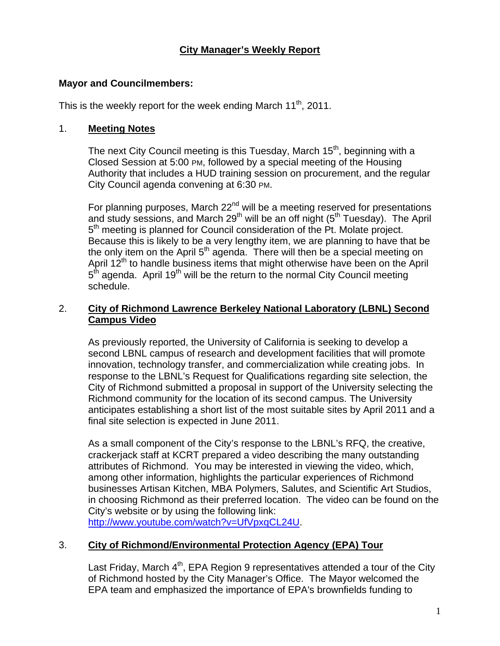# **City Manager's Weekly Report**

#### **Mayor and Councilmembers:**

This is the weekly report for the week ending March  $11<sup>th</sup>$ , 2011.

### 1. **Meeting Notes**

The next City Council meeting is this Tuesday, March 15<sup>th</sup>, beginning with a Closed Session at 5:00 PM, followed by a special meeting of the Housing Authority that includes a HUD training session on procurement, and the regular City Council agenda convening at 6:30 PM.

For planning purposes, March  $22<sup>nd</sup>$  will be a meeting reserved for presentations and study sessions, and March 29<sup>th</sup> will be an off night ( $5<sup>th</sup>$  Tuesday). The April 5<sup>th</sup> meeting is planned for Council consideration of the Pt. Molate project. Because this is likely to be a very lengthy item, we are planning to have that be the only item on the April  $5<sup>th</sup>$  agenda. There will then be a special meeting on April 12<sup>th</sup> to handle business items that might otherwise have been on the April  $5<sup>th</sup>$  agenda. April 19<sup>th</sup> will be the return to the normal City Council meeting schedule.

## 2. **City of Richmond Lawrence Berkeley National Laboratory (LBNL) Second Campus Video**

As previously reported, the University of California is seeking to develop a second LBNL campus of research and development facilities that will promote innovation, technology transfer, and commercialization while creating jobs. In response to the LBNL's Request for Qualifications regarding site selection, the City of Richmond submitted a proposal in support of the University selecting the Richmond community for the location of its second campus. The University anticipates establishing a short list of the most suitable sites by April 2011 and a final site selection is expected in June 2011.

As a small component of the City's response to the LBNL's RFQ, the creative, crackerjack staff at KCRT prepared a video describing the many outstanding attributes of Richmond. You may be interested in viewing the video, which, among other information, highlights the particular experiences of Richmond businesses Artisan Kitchen, MBA Polymers, Salutes, and Scientific Art Studios, in choosing Richmond as their preferred location. The video can be found on the City's website or by using the following link: http://www.youtube.com/watch?v=UfVpxqCL24U.

# 3. **City of Richmond/Environmental Protection Agency (EPA) Tour**

Last Friday, March  $4<sup>th</sup>$ , EPA Region 9 representatives attended a tour of the City of Richmond hosted by the City Manager's Office. The Mayor welcomed the EPA team and emphasized the importance of EPA's brownfields funding to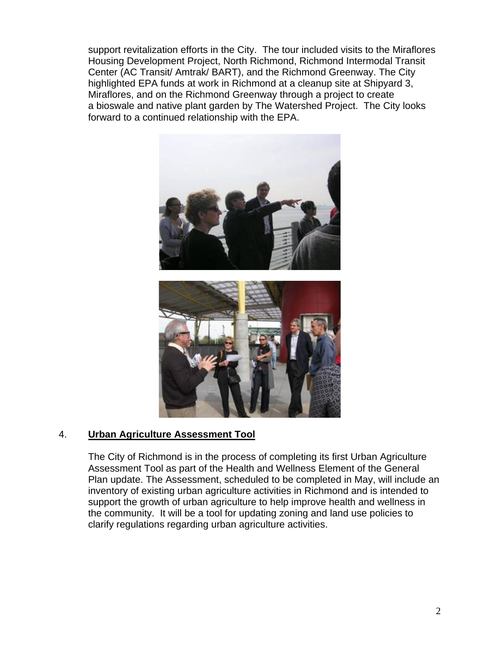support revitalization efforts in the City. The tour included visits to the Miraflores Housing Development Project, North Richmond, Richmond Intermodal Transit Center (AC Transit/ Amtrak/ BART), and the Richmond Greenway. The City highlighted EPA funds at work in Richmond at a cleanup site at Shipyard 3, Miraflores, and on the Richmond Greenway through a project to create a bioswale and native plant garden by The Watershed Project. The City looks forward to a continued relationship with the EPA.



# 4. **Urban Agriculture Assessment Tool**

The City of Richmond is in the process of completing its first Urban Agriculture Assessment Tool as part of the Health and Wellness Element of the General Plan update. The Assessment, scheduled to be completed in May, will include an inventory of existing urban agriculture activities in Richmond and is intended to support the growth of urban agriculture to help improve health and wellness in the community. It will be a tool for updating zoning and land use policies to clarify regulations regarding urban agriculture activities.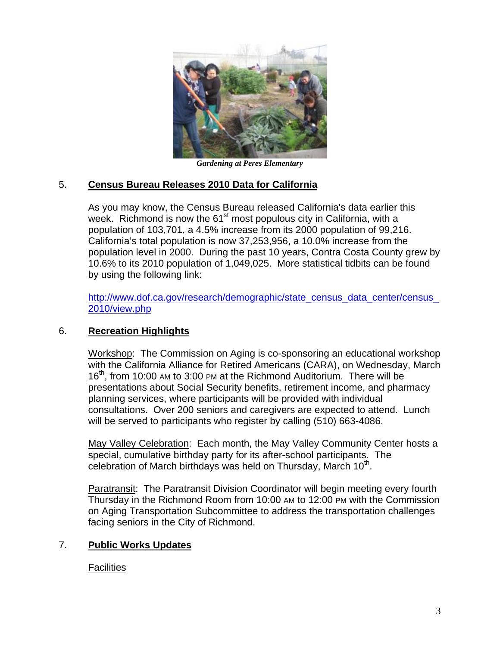

*Gardening at Peres Elementary*

## 5. **Census Bureau Releases 2010 Data for California**

As you may know, the Census Bureau released California's data earlier this week. Richmond is now the 61<sup>st</sup> most populous city in California, with a population of 103,701, a 4.5% increase from its 2000 population of 99,216. California's total population is now 37,253,956, a 10.0% increase from the population level in 2000. During the past 10 years, Contra Costa County grew by 10.6% to its 2010 population of 1,049,025. More statistical tidbits can be found by using the following link:

http://www.dof.ca.gov/research/demographic/state\_census\_data\_center/census\_ 2010/view.php

#### 6. **Recreation Highlights**

Workshop: The Commission on Aging is co-sponsoring an educational workshop with the California Alliance for Retired Americans (CARA), on Wednesday, March 16<sup>th</sup>, from 10:00 AM to 3:00 PM at the Richmond Auditorium. There will be presentations about Social Security benefits, retirement income, and pharmacy planning services, where participants will be provided with individual consultations. Over 200 seniors and caregivers are expected to attend. Lunch will be served to participants who register by calling (510) 663-4086.

May Valley Celebration: Each month, the May Valley Community Center hosts a special, cumulative birthday party for its after-school participants. The celebration of March birthdays was held on Thursday, March  $10<sup>th</sup>$ .

Paratransit: The Paratransit Division Coordinator will begin meeting every fourth Thursday in the Richmond Room from 10:00 AM to 12:00 PM with the Commission on Aging Transportation Subcommittee to address the transportation challenges facing seniors in the City of Richmond.

# 7. **Public Works Updates**

Facilities